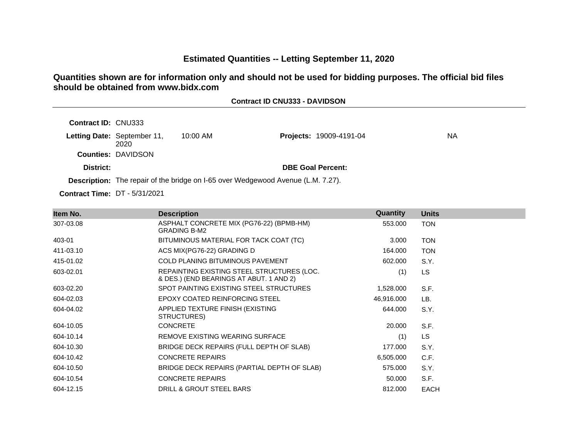## **Estimated Quantities -- Letting September 11, 2020**

**Contract ID CNU333 - DAVIDSON**

## **Quantities shown are for information only and should not be used for bidding purposes. The official bid files should be obtained from www.bidx.com**

| <b>Contract ID: CNU333</b> |                                     |                                                                                  |                          |     |
|----------------------------|-------------------------------------|----------------------------------------------------------------------------------|--------------------------|-----|
|                            | Letting Date: September 11,<br>2020 | $10:00$ AM                                                                       | Projects: 19009-4191-04  | NA. |
|                            | <b>Counties: DAVIDSON</b>           |                                                                                  |                          |     |
| District:                  |                                     |                                                                                  | <b>DBE Goal Percent:</b> |     |
|                            |                                     | Description: The repair of the bridge on I-65 over Wedgewood Avenue (L.M. 7.27). |                          |     |

**Contract Time:** DT - 5/31/2021

| Item No.  | <b>Description</b>                                                                    | Quantity   | <b>Units</b> |
|-----------|---------------------------------------------------------------------------------------|------------|--------------|
| 307-03.08 | ASPHALT CONCRETE MIX (PG76-22) (BPMB-HM)<br><b>GRADING B-M2</b>                       | 553.000    | <b>TON</b>   |
| 403-01    | BITUMINOUS MATERIAL FOR TACK COAT (TC)                                                | 3.000      | <b>TON</b>   |
| 411-03.10 | ACS MIX(PG76-22) GRADING D                                                            | 164.000    | <b>TON</b>   |
| 415-01.02 | COLD PLANING BITUMINOUS PAVEMENT                                                      | 602.000    | S.Y.         |
| 603-02.01 | REPAINTING EXISTING STEEL STRUCTURES (LOC.<br>& DES.) (END BEARINGS AT ABUT. 1 AND 2) | (1)        | LS.          |
| 603-02.20 | SPOT PAINTING EXISTING STEEL STRUCTURES                                               | 1,528.000  | S.F.         |
| 604-02.03 | EPOXY COATED REINFORCING STEEL                                                        | 46,916.000 | LB.          |
| 604-04.02 | APPLIED TEXTURE FINISH (EXISTING<br>STRUCTURES)                                       | 644.000    | S.Y.         |
| 604-10.05 | <b>CONCRETE</b>                                                                       | 20,000     | S.F.         |
| 604-10.14 | REMOVE EXISTING WEARING SURFACE                                                       | (1)        | <b>LS</b>    |
| 604-10.30 | BRIDGE DECK REPAIRS (FULL DEPTH OF SLAB)                                              | 177.000    | S.Y.         |
| 604-10.42 | <b>CONCRETE REPAIRS</b>                                                               | 6,505.000  | C.F.         |
| 604-10.50 | BRIDGE DECK REPAIRS (PARTIAL DEPTH OF SLAB)                                           | 575.000    | S.Y.         |
| 604-10.54 | <b>CONCRETE REPAIRS</b>                                                               | 50.000     | S.F.         |
| 604-12.15 | DRILL & GROUT STEEL BARS                                                              | 812,000    | <b>EACH</b>  |